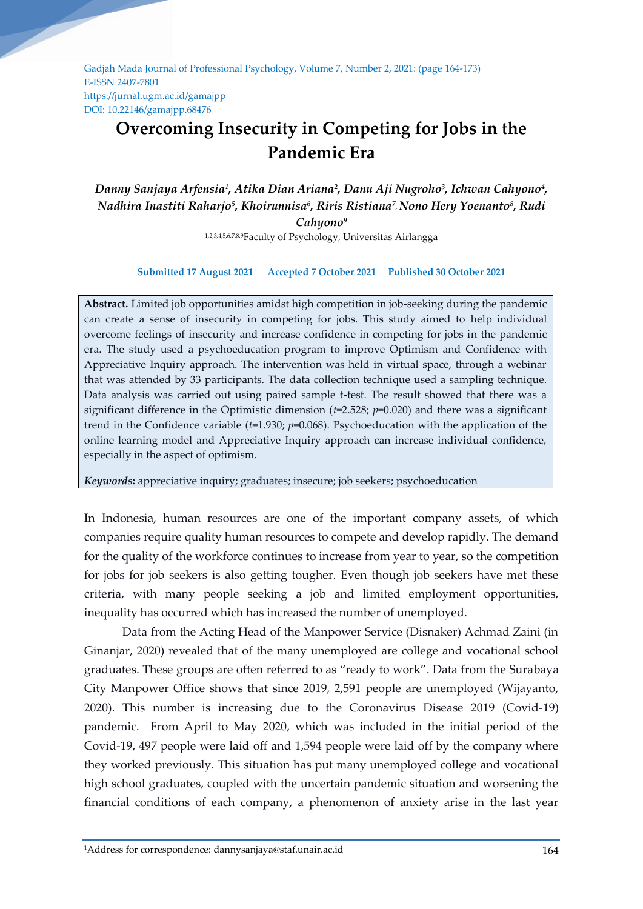Gadjah Mada Journal of Professional Psychology, Volume 7, Number 2, 2021: (page 164-173) E-ISSN 2407-7801 https://jurnal.ugm.ac.id/gamajpp DOI: 10.22146/gamajpp.68476

# **Overcoming Insecurity in Competing for Jobs in the Pandemic Era**

Danny Sanjaya Arfensia<sup>1</sup>, Atika Dian Ariana<sup>2</sup>, Danu Aji Nugroho<sup>3</sup>, Ichwan Cahyono<del>'</del>, *Nadhira Inastiti Raharjo<sup>5</sup> , Khoirunnisa<sup>6</sup> , Riris Ristiana<sup>7</sup> , Nono Hery Yoenanto<sup>8</sup> , Rudi Cahyono<sup>9</sup>*

1,2,3,4,5,6,7,8,9Faculty of Psychology, Universitas Airlangga

#### **Submitted 17 August 2021 Accepted 7 October 2021 Published 30 October 2021**

**Abstract.** Limited job opportunities amidst high competition in job-seeking during the pandemic can create a sense of insecurity in competing for jobs. This study aimed to help individual overcome feelings of insecurity and increase confidence in competing for jobs in the pandemic era. The study used a psychoeducation program to improve Optimism and Confidence with Appreciative Inquiry approach. The intervention was held in virtual space, through a webinar that was attended by 33 participants. The data collection technique used a sampling technique. Data analysis was carried out using paired sample t-test. The result showed that there was a significant difference in the Optimistic dimension  $(t=2.528; p=0.020)$  and there was a significant trend in the Confidence variable (*t*=1.930; *p*=0.068). Psychoeducation with the application of the online learning model and Appreciative Inquiry approach can increase individual confidence, especially in the aspect of optimism.

*Keywords***:** appreciative inquiry; graduates; insecure; job seekers; psychoeducation

In Indonesia, human resources are one of the important company assets, of which companies require quality human resources to compete and develop rapidly. The demand for the quality of the workforce continues to increase from year to year, so the competition for jobs for job seekers is also getting tougher. Even though job seekers have met these criteria, with many people seeking a job and limited employment opportunities, inequality has occurred which has increased the number of unemployed.

Data from the Acting Head of the Manpower Service (Disnaker) Achmad Zaini (in Ginanjar, 2020) revealed that of the many unemployed are college and vocational school graduates. These groups are often referred to as "ready to work". Data from the Surabaya City Manpower Office shows that since 2019, 2,591 people are unemployed (Wijayanto, 2020). This number is increasing due to the Coronavirus Disease 2019 (Covid-19) pandemic. From April to May 2020, which was included in the initial period of the Covid-19, 497 people were laid off and 1,594 people were laid off by the company where they worked previously. This situation has put many unemployed college and vocational high school graduates, coupled with the uncertain pandemic situation and worsening the financial conditions of each company, a phenomenon of anxiety arise in the last year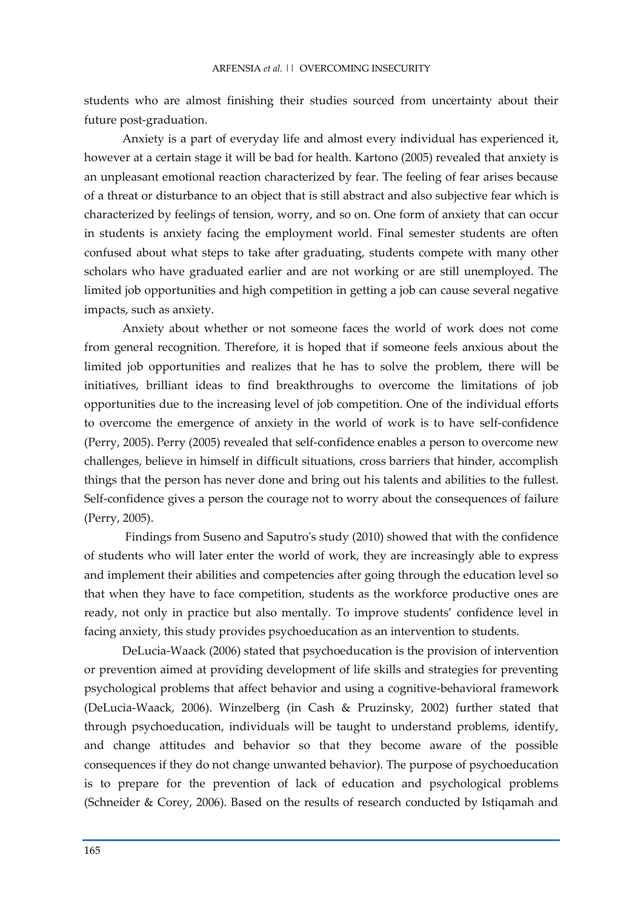students who are almost finishing their studies sourced from uncertainty about their future post-graduation.

Anxiety is a part of everyday life and almost every individual has experienced it, however at a certain stage it will be bad for health. Kartono (2005) revealed that anxiety is an unpleasant emotional reaction characterized by fear. The feeling of fear arises because of a threat or disturbance to an object that is still abstract and also subjective fear which is characterized by feelings of tension, worry, and so on. One form of anxiety that can occur in students is anxiety facing the employment world. Final semester students are often confused about what steps to take after graduating, students compete with many other scholars who have graduated earlier and are not working or are still unemployed. The limited job opportunities and high competition in getting a job can cause several negative impacts, such as anxiety.

Anxiety about whether or not someone faces the world of work does not come from general recognition. Therefore, it is hoped that if someone feels anxious about the limited job opportunities and realizes that he has to solve the problem, there will be initiatives, brilliant ideas to find breakthroughs to overcome the limitations of job opportunities due to the increasing level of job competition. One of the individual efforts to overcome the emergence of anxiety in the world of work is to have self-confidence (Perry, 2005). Perry (2005) revealed that self-confidence enables a person to overcome new challenges, believe in himself in difficult situations, cross barriers that hinder, accomplish things that the person has never done and bring out his talents and abilities to the fullest. Self-confidence gives a person the courage not to worry about the consequences of failure (Perry, 2005).

Findings from Suseno and Saputro's study (2010) showed that with the confidence of students who will later enter the world of work, they are increasingly able to express and implement their abilities and competencies after going through the education level so that when they have to face competition, students as the workforce productive ones are ready, not only in practice but also mentally. To improve students' confidence level in facing anxiety, this study provides psychoeducation as an intervention to students.

DeLucia-Waack (2006) stated that psychoeducation is the provision of intervention or prevention aimed at providing development of life skills and strategies for preventing psychological problems that affect behavior and using a cognitive-behavioral framework (DeLucia-Waack, 2006). Winzelberg (in Cash & Pruzinsky, 2002) further stated that through psychoeducation, individuals will be taught to understand problems, identify, and change attitudes and behavior so that they become aware of the possible consequences if they do not change unwanted behavior). The purpose of psychoeducation is to prepare for the prevention of lack of education and psychological problems (Schneider & Corey, 2006). Based on the results of research conducted by Istiqamah and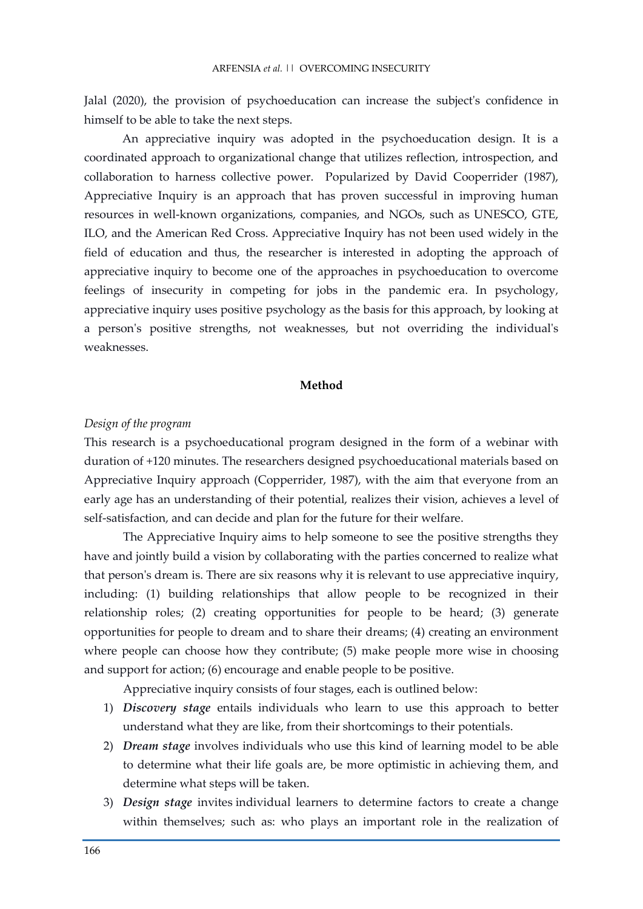Jalal (2020), the provision of psychoeducation can increase the subject's confidence in himself to be able to take the next steps.

An appreciative inquiry was adopted in the psychoeducation design. It is a coordinated approach to organizational change that utilizes reflection, introspection, and collaboration to harness collective power. Popularized by David Cooperrider (1987), Appreciative Inquiry is an approach that has proven successful in improving human resources in well-known organizations, companies, and NGOs, such as UNESCO, GTE, ILO, and the American Red Cross. Appreciative Inquiry has not been used widely in the field of education and thus, the researcher is interested in adopting the approach of appreciative inquiry to become one of the approaches in psychoeducation to overcome feelings of insecurity in competing for jobs in the pandemic era. In psychology, appreciative inquiry uses positive psychology as the basis for this approach, by looking at a person's positive strengths, not weaknesses, but not overriding the individual's weaknesses.

## **Method**

#### *Design of the program*

This research is a psychoeducational program designed in the form of a webinar with duration of +120 minutes. The researchers designed psychoeducational materials based on Appreciative Inquiry approach (Copperrider, 1987), with the aim that everyone from an early age has an understanding of their potential, realizes their vision, achieves a level of self-satisfaction, and can decide and plan for the future for their welfare.

The Appreciative Inquiry aims to help someone to see the positive strengths they have and jointly build a vision by collaborating with the parties concerned to realize what that person's dream is. There are six reasons why it is relevant to use appreciative inquiry, including: (1) building relationships that allow people to be recognized in their relationship roles; (2) creating opportunities for people to be heard; (3) generate opportunities for people to dream and to share their dreams; (4) creating an environment where people can choose how they contribute; (5) make people more wise in choosing and support for action; (6) encourage and enable people to be positive.

Appreciative inquiry consists of four stages, each is outlined below:

- 1) *Discovery stage* entails individuals who learn to use this approach to better understand what they are like, from their shortcomings to their potentials.
- 2) *Dream stage* involves individuals who use this kind of learning model to be able to determine what their life goals are, be more optimistic in achieving them, and determine what steps will be taken.
- 3) *Design stage* invites individual learners to determine factors to create a change within themselves; such as: who plays an important role in the realization of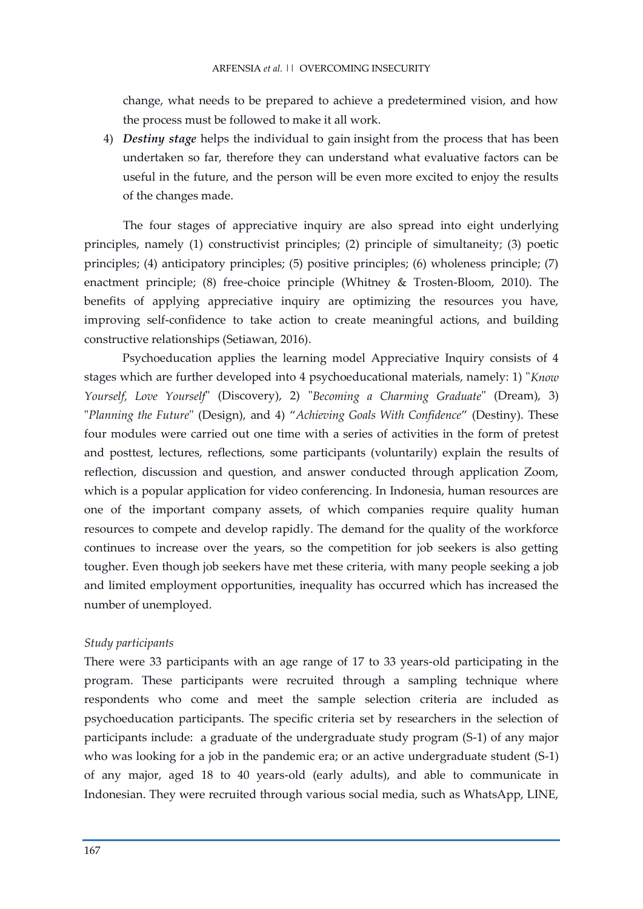change, what needs to be prepared to achieve a predetermined vision, and how the process must be followed to make it all work.

4) *Destiny stage* helps the individual to gain insight from the process that has been undertaken so far, therefore they can understand what evaluative factors can be useful in the future, and the person will be even more excited to enjoy the results of the changes made.

The four stages of appreciative inquiry are also spread into eight underlying principles, namely (1) constructivist principles; (2) principle of simultaneity; (3) poetic principles; (4) anticipatory principles; (5) positive principles; (6) wholeness principle; (7) enactment principle; (8) free-choice principle (Whitney & Trosten-Bloom, 2010). The benefits of applying appreciative inquiry are optimizing the resources you have, improving self-confidence to take action to create meaningful actions, and building constructive relationships (Setiawan, 2016).

Psychoeducation applies the learning model Appreciative Inquiry consists of 4 stages which are further developed into 4 psychoeducational materials, namely: 1) "*Know Yourself, Love Yourself*" (Discovery), 2) "*Becoming a Charming Graduate*" (Dream), 3) "*Planning the Future*" (Design), and 4) "*Achieving Goals With Confidence*" (Destiny). These four modules were carried out one time with a series of activities in the form of pretest and posttest, lectures, reflections, some participants (voluntarily) explain the results of reflection, discussion and question, and answer conducted through application Zoom, which is a popular application for video conferencing. In Indonesia, human resources are one of the important company assets, of which companies require quality human resources to compete and develop rapidly. The demand for the quality of the workforce continues to increase over the years, so the competition for job seekers is also getting tougher. Even though job seekers have met these criteria, with many people seeking a job and limited employment opportunities, inequality has occurred which has increased the number of unemployed.

## *Study participants*

There were 33 participants with an age range of 17 to 33 years-old participating in the program. These participants were recruited through a sampling technique where respondents who come and meet the sample selection criteria are included as psychoeducation participants. The specific criteria set by researchers in the selection of participants include: a graduate of the undergraduate study program (S-1) of any major who was looking for a job in the pandemic era; or an active undergraduate student (S-1) of any major, aged 18 to 40 years-old (early adults), and able to communicate in Indonesian. They were recruited through various social media, such as WhatsApp, LINE,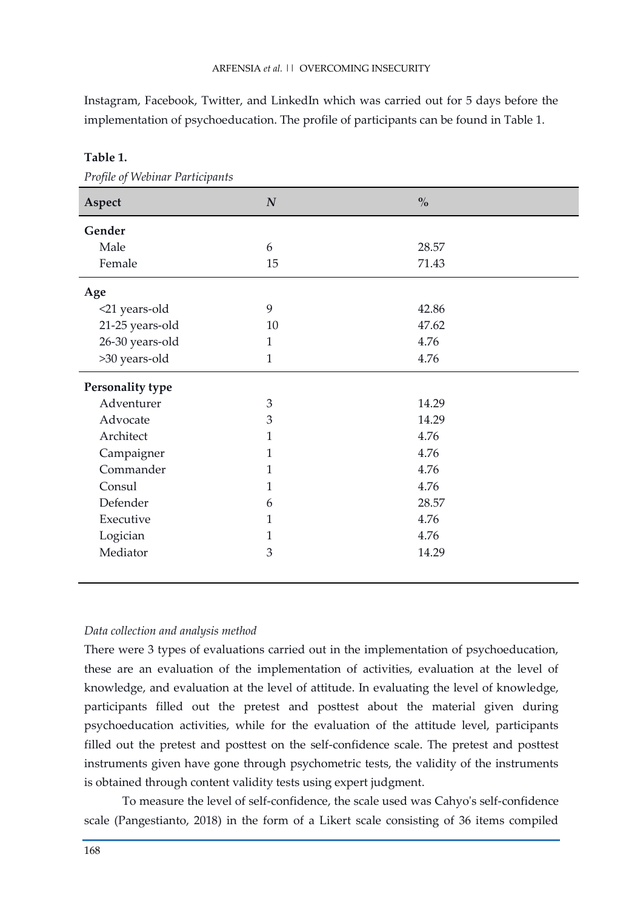Instagram, Facebook, Twitter, and LinkedIn which was carried out for 5 days before the implementation of psychoeducation. The profile of participants can be found in Table 1.

| Aspect           | $\boldsymbol{N}$ | $\mathbf{0}_{\mathbf{0}}^{\prime}$ |  |
|------------------|------------------|------------------------------------|--|
| Gender           |                  |                                    |  |
| Male             | 6                | 28.57                              |  |
| Female           | 15               | 71.43                              |  |
| Age              |                  |                                    |  |
| <21 years-old    | 9                | 42.86                              |  |
| 21-25 years-old  | 10               | 47.62                              |  |
| 26-30 years-old  | $\mathbf{1}$     | 4.76                               |  |
| >30 years-old    | $\mathbf{1}$     | 4.76                               |  |
| Personality type |                  |                                    |  |
| Adventurer       | 3                | 14.29                              |  |
| Advocate         | 3                | 14.29                              |  |
| Architect        | $\mathbf{1}$     | 4.76                               |  |
| Campaigner       | $\mathbf{1}$     | 4.76                               |  |
| Commander        | $\mathbf{1}$     | 4.76                               |  |
| Consul           | $\mathbf{1}$     | 4.76                               |  |
| Defender         | 6                | 28.57                              |  |
| Executive        | $\mathbf{1}$     | 4.76                               |  |
| Logician         | $\mathbf{1}$     | 4.76                               |  |
| Mediator         | 3                | 14.29                              |  |
|                  |                  |                                    |  |

**Table 1.**

*Profile of Webinar Participants*

## *Data collection and analysis method*

There were 3 types of evaluations carried out in the implementation of psychoeducation, these are an evaluation of the implementation of activities, evaluation at the level of knowledge, and evaluation at the level of attitude. In evaluating the level of knowledge, participants filled out the pretest and posttest about the material given during psychoeducation activities, while for the evaluation of the attitude level, participants filled out the pretest and posttest on the self-confidence scale. The pretest and posttest instruments given have gone through psychometric tests, the validity of the instruments is obtained through content validity tests using expert judgment.

To measure the level of self-confidence, the scale used was Cahyo's self-confidence scale (Pangestianto, 2018) in the form of a Likert scale consisting of 36 items compiled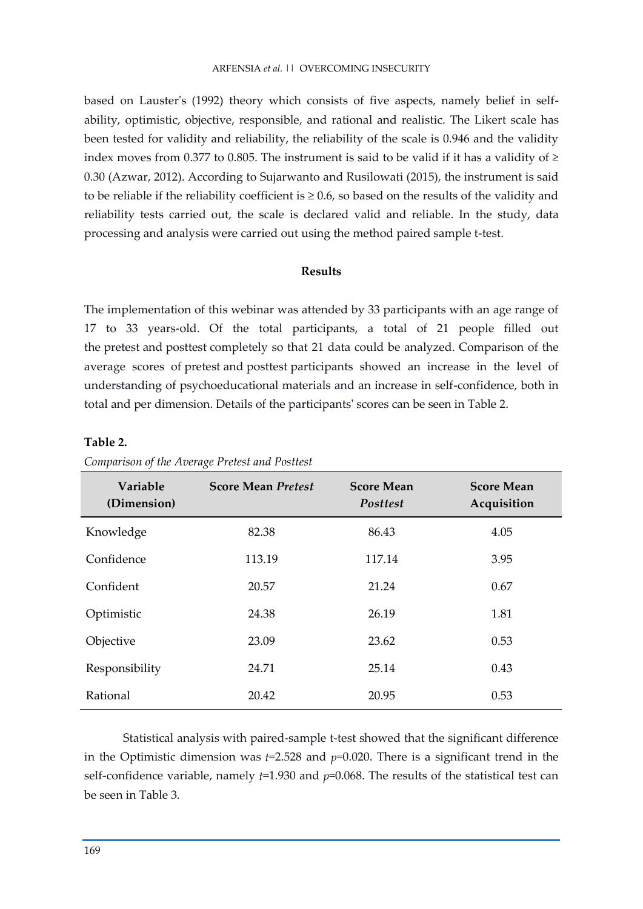based on Lauster's (1992) theory which consists of five aspects, namely belief in selfability, optimistic, objective, responsible, and rational and realistic. The Likert scale has been tested for validity and reliability, the reliability of the scale is 0.946 and the validity index moves from 0.377 to 0.805. The instrument is said to be valid if it has a validity of  $\ge$ 0.30 (Azwar, 2012). According to Sujarwanto and Rusilowati (2015), the instrument is said to be reliable if the reliability coefficient is  $\geq 0.6$ , so based on the results of the validity and reliability tests carried out, the scale is declared valid and reliable. In the study, data processing and analysis were carried out using the method paired sample t-test.

## **Results**

The implementation of this webinar was attended by 33 participants with an age range of 17 to 33 years-old. Of the total participants, a total of 21 people filled out the pretest and posttest completely so that 21 data could be analyzed. Comparison of the average scores of pretest and posttest participants showed an increase in the level of understanding of psychoeducational materials and an increase in self-confidence, both in total and per dimension. Details of the participants' scores can be seen in Table 2.

## **Table 2.**

| Variable<br>(Dimension) | <b>Score Mean Pretest</b> | <b>Score Mean</b><br>Posttest | <b>Score Mean</b><br>Acquisition |
|-------------------------|---------------------------|-------------------------------|----------------------------------|
| Knowledge               | 82.38                     | 86.43                         | 4.05                             |
| Confidence              | 113.19                    | 117.14                        | 3.95                             |
| Confident               | 20.57                     | 21.24                         | 0.67                             |
| Optimistic              | 24.38                     | 26.19                         | 1.81                             |
| Objective               | 23.09                     | 23.62                         | 0.53                             |
| Responsibility          | 24.71                     | 25.14                         | 0.43                             |
| Rational                | 20.42                     | 20.95                         | 0.53                             |

*Comparison of the Average Pretest and Posttest*

Statistical analysis with paired-sample t-test showed that the significant difference in the Optimistic dimension was  $t=2.528$  and  $p=0.020$ . There is a significant trend in the self-confidence variable, namely *t*=1.930 and *p*=0.068. The results of the statistical test can be seen in Table 3.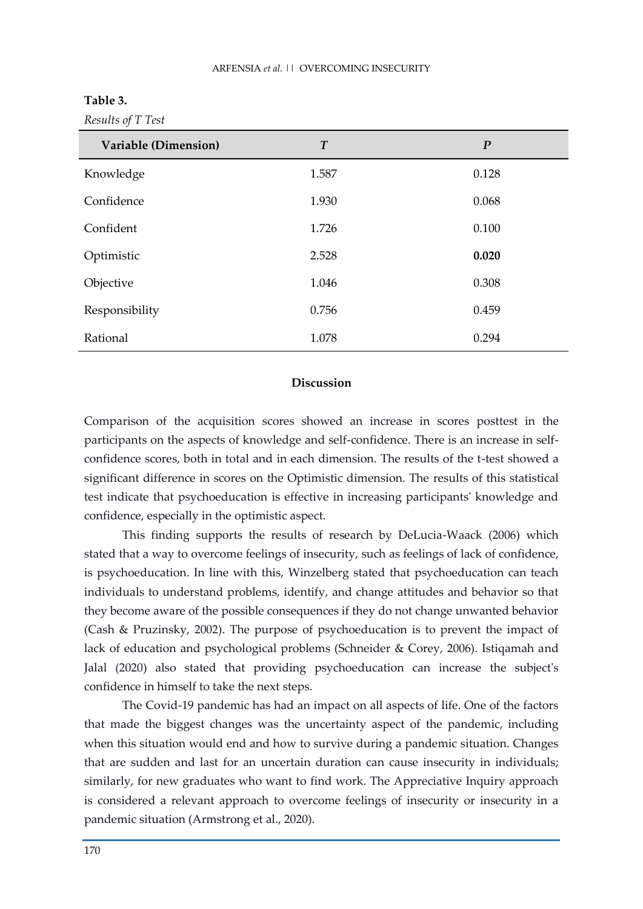## ARFENSIA *et al.* || OVERCOMING INSECURITY

| able |  |
|------|--|
|------|--|

| Variable (Dimension) | T     | $\boldsymbol{P}$ |
|----------------------|-------|------------------|
| Knowledge            | 1.587 | 0.128            |
| Confidence           | 1.930 | 0.068            |
| Confident            | 1.726 | 0.100            |
| Optimistic           | 2.528 | 0.020            |
| Objective            | 1.046 | 0.308            |
| Responsibility       | 0.756 | 0.459            |
| Rational             | 1.078 | 0.294            |

## *Results of T Test*

## **Discussion**

Comparison of the acquisition scores showed an increase in scores posttest in the participants on the aspects of knowledge and self-confidence. There is an increase in selfconfidence scores, both in total and in each dimension. The results of the t-test showed a significant difference in scores on the Optimistic dimension. The results of this statistical test indicate that psychoeducation is effective in increasing participants' knowledge and confidence, especially in the optimistic aspect.

This finding supports the results of research by DeLucia-Waack (2006) which stated that a way to overcome feelings of insecurity, such as feelings of lack of confidence, is psychoeducation. In line with this, Winzelberg stated that psychoeducation can teach individuals to understand problems, identify, and change attitudes and behavior so that they become aware of the possible consequences if they do not change unwanted behavior (Cash & Pruzinsky, 2002). The purpose of psychoeducation is to prevent the impact of lack of education and psychological problems (Schneider & Corey, 2006). Istiqamah and Jalal (2020) also stated that providing psychoeducation can increase the subject's confidence in himself to take the next steps.

The Covid-19 pandemic has had an impact on all aspects of life. One of the factors that made the biggest changes was the uncertainty aspect of the pandemic, including when this situation would end and how to survive during a pandemic situation. Changes that are sudden and last for an uncertain duration can cause insecurity in individuals; similarly, for new graduates who want to find work. The Appreciative Inquiry approach is considered a relevant approach to overcome feelings of insecurity or insecurity in a pandemic situation (Armstrong et al., 2020).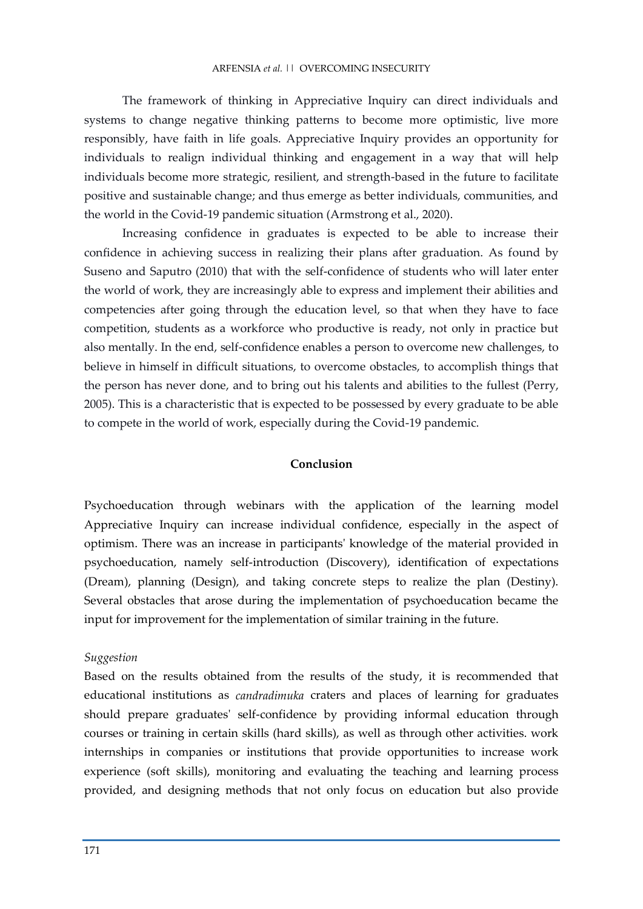#### ARFENSIA *et al.* || OVERCOMING INSECURITY

The framework of thinking in Appreciative Inquiry can direct individuals and systems to change negative thinking patterns to become more optimistic, live more responsibly, have faith in life goals. Appreciative Inquiry provides an opportunity for individuals to realign individual thinking and engagement in a way that will help individuals become more strategic, resilient, and strength-based in the future to facilitate positive and sustainable change; and thus emerge as better individuals, communities, and the world in the Covid-19 pandemic situation (Armstrong et al., 2020).

Increasing confidence in graduates is expected to be able to increase their confidence in achieving success in realizing their plans after graduation. As found by Suseno and Saputro (2010) that with the self-confidence of students who will later enter the world of work, they are increasingly able to express and implement their abilities and competencies after going through the education level, so that when they have to face competition, students as a workforce who productive is ready, not only in practice but also mentally. In the end, self-confidence enables a person to overcome new challenges, to believe in himself in difficult situations, to overcome obstacles, to accomplish things that the person has never done, and to bring out his talents and abilities to the fullest (Perry, 2005). This is a characteristic that is expected to be possessed by every graduate to be able to compete in the world of work, especially during the Covid-19 pandemic.

## **Conclusion**

Psychoeducation through webinars with the application of the learning model Appreciative Inquiry can increase individual confidence, especially in the aspect of optimism. There was an increase in participants' knowledge of the material provided in psychoeducation, namely self-introduction (Discovery), identification of expectations (Dream), planning (Design), and taking concrete steps to realize the plan (Destiny). Several obstacles that arose during the implementation of psychoeducation became the input for improvement for the implementation of similar training in the future.

## *Suggestion*

Based on the results obtained from the results of the study, it is recommended that educational institutions as *candradimuka* craters and places of learning for graduates should prepare graduates' self-confidence by providing informal education through courses or training in certain skills (hard skills), as well as through other activities. work internships in companies or institutions that provide opportunities to increase work experience (soft skills), monitoring and evaluating the teaching and learning process provided, and designing methods that not only focus on education but also provide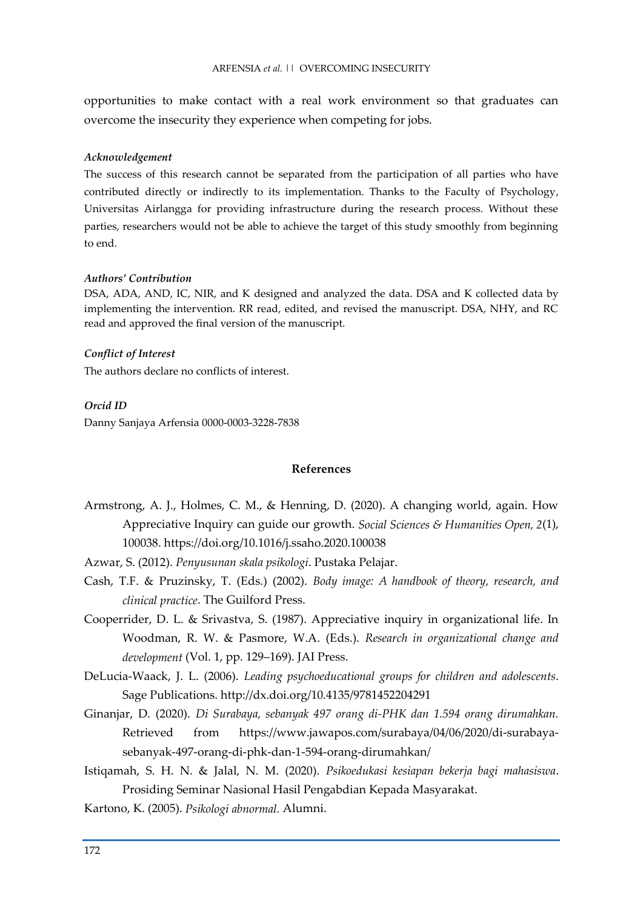opportunities to make contact with a real work environment so that graduates can overcome the insecurity they experience when competing for jobs.

#### *Acknowledgement*

The success of this research cannot be separated from the participation of all parties who have contributed directly or indirectly to its implementation. Thanks to the Faculty of Psychology, Universitas Airlangga for providing infrastructure during the research process. Without these parties, researchers would not be able to achieve the target of this study smoothly from beginning to end.

## *Authors' Contribution*

DSA, ADA, AND, IC, NIR, and K designed and analyzed the data. DSA and K collected data by implementing the intervention. RR read, edited, and revised the manuscript. DSA, NHY, and RC read and approved the final version of the manuscript.

## *Conflict of Interest*

The authors declare no conflicts of interest.

## *Orcid ID*

Danny Sanjaya Arfensia 0000-0003-3228-7838

## **References**

- Armstrong, A. J., Holmes, C. M., & Henning, D. (2020). A changing world, again. How Appreciative Inquiry can guide our growth. *Social Sciences & Humanities Open, 2*(1), 100038. https://doi.org/10.1016/j.ssaho.2020.100038
- Azwar, S. (2012). *Penyusunan skala psikologi*. Pustaka Pelajar.
- Cash, T.F. & Pruzinsky, T. (Eds.) (2002). *Body image: A handbook of theory, research, and clinical practice*. The Guilford Press.
- Cooperrider, D. L. & Srivastva, S. (1987). Appreciative inquiry in organizational life. In Woodman, R. W. & Pasmore, W.A. (Eds.). *Research in organizational change and development* (Vol. 1, pp. 129–169). JAI Press.
- DeLucia-Waack, J. L. (2006). *Leading psychoeducational groups for children and adolescents*. Sage Publications. http://dx.doi.org/10.4135/9781452204291
- Ginanjar, D. (2020). *Di Surabaya, sebanyak 497 orang di-PHK dan 1.594 orang dirumahkan.* Retrieved from https://www.jawapos.com/surabaya/04/06/2020/di-surabayasebanyak-497-orang-di-phk-dan-1-594-orang-dirumahkan/
- Istiqamah, S. H. N. & Jalal, N. M. (2020). *Psikoedukasi kesiapan bekerja bagi mahasiswa*. Prosiding Seminar Nasional Hasil Pengabdian Kepada Masyarakat.
- Kartono, K. (2005). *Psikologi abnormal.* Alumni.